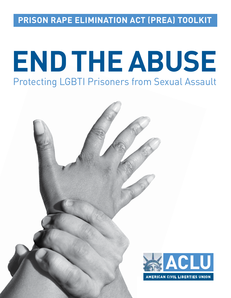**PRISON RAPE ELIMINATION ACT (PREA) TOOLKIT**

# Protecting LGBTI Prisoners from Sexual Assault **ENDTHEABUSE**

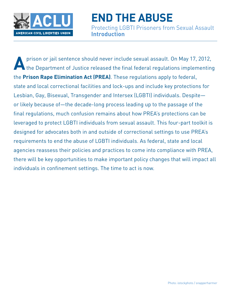

Protecting LGBTI Prisoners from Sexual Assault **Introduction**

**A** prison or jail sentence should never include sexual assault. On May 17, 2012,<br>the Department of Justice released the final federal regulations implementing the **Prison Rape Elimination Act (PREA)**. These regulations apply to federal, state and local correctional facilities and lock-ups and include key protections for Lesbian, Gay, Bisexual, Transgender and Intersex (LGBTI) individuals. Despite or likely because of—the decade-long process leading up to the passage of the final regulations, much confusion remains about how PREA's protections can be leveraged to protect LGBTI individuals from sexual assault. This four-part toolkit is designed for advocates both in and outside of correctional settings to use PREA's requirements to end the abuse of LGBTI individuals. As federal, state and local agencies reassess their policies and practices to come into compliance with PREA, there will be key opportunities to make important policy changes that will impact all individuals in confinement settings. The time to act is now.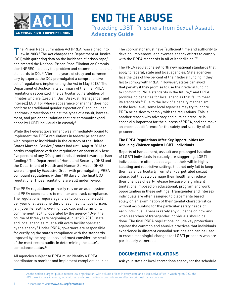

Protecting LGBTI Prisoners from Sexual Assault **Advocacy Guide**

The Prison Rape Elimination Act (PREA) was signed into<br>law in 2003.<sup>1</sup> The Act charged the Department of Justice (DOJ) with gathering data on the incidence of prison rape,2 and created the National Prison Rape Elimination Commission (NPREC) to study the problem and recommend national standards to DOJ.3 After nine years of study and commentary by experts, the DOJ promulgated a comprehensive set of regulations implementing the Act in May 2012.4 The Department of Justice in its summary of the final PREA regulations recognized "the particular vulnerabilities of inmates who are [Lesbian, Gay, Bisexual, Transgender and Intersex] LGBTI or whose appearance or manner does not conform to traditional gender expectations" and included landmark protections against the types of assault, harassment, and prolonged isolation that are commonly experienced by LGBTI individuals in custody.5

While the Federal government was immediately bound to implement the PREA regulations in federal prisons and with respect to individuals in the custody of the United States Marshal Service,<sup>6</sup> states had until August 2013 to certify compliance with the regulations or potentially lose five percent of any DOJ grant funds directed towards prison funding.7 The Department of Homeland Security (DHS) and the Department of Health and Human Services (DHHS) were charged by Executive Order with promulgating PREAcompliant regulations within 180 days of the final DOJ regulations. Those regulations are still under review.

The PREA regulations primarily rely on an audit system and PREA coordinators to monitor and track compliance. The regulations require agencies to conduct one audit per year of at least one third of each facility type (prison, jail, juvenile facility, overnight lockup, and community confinement facility) operated by the agency.8 Over the course of three years beginning August 20, 2013, state and local agencies must audit every facility operated by the agency.<sup>9</sup> Under PREA, governors are responsible for certifying the state's compliance with the standards imposed by the regulations and must consider the results of the most recent audits in determining the state's compliance status.10

All agencies subject to PREA must identify a PREA coordinator to monitor and implement compliant policies. The coordinator must have "sufficient time and authority to develop, implement, and oversee agency efforts to comply with the PREA standards in all of its facilities."<sup>11</sup>

The PREA regulations set forth new national standards that apply to federal, state and local agencies. State agencies face the loss of five percent of their federal funding if they fail to comply with PREA.<sup>12</sup> However, states can avoid that penalty if they promise to use their federal funding to conform to PREA standards in the future,<sup>13</sup> and PREA provides no penalties for local agencies that fail to meet its standards.14 Due to the lack of a penalty mechanism at the local level, some local agencies may try to ignore PREA or be slow to comply with the regulations. This is another reason why advocacy and outside pressure is especially important for the success of PREA, and can make an enormous difference for the safety and security of all prisoners.

### **The PREA Regulations Offer Key Opportunities for Reducing Violence against LGBTI individuals.**

Reports of harassment, assault and prolonged isolation of LGBTI individuals in custody are staggering. LGBTI individuals are often placed against their will in highly isolating and restrictive settings that not only fail to keep them safe, particularly from staff-perpetrated sexual abuse, but that also damage their health and reduce their chances of early release because of significant limitations imposed on educational, program and work opportunities in these settings. Transgender and intersex individuals are often assigned to placements based solely on an examination of their genital characteristics without accounting for the particular safety needs of each individual. There is rarely any guidance on how and when searches of transgender individuals should be done. The final PREA regulations include key protections against the common and abusive practices that individuals experience in different custodial settings and can be used to create meaningful changes for LGBTI prisoners who are particularly vulnerable.

# **DOCUMENTING VIOLATIONS**

Ask your state or local corrections agency for the schedule

As the nation's largest public interest law organization, with affiliate offices in every state and a legislative office in Washington D.C., the ACLU works daily in courts, legislatures, and communities to promote more effective criminal justice policies.

1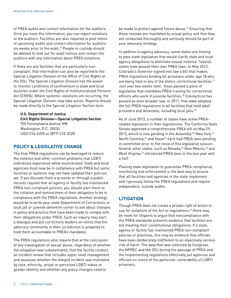of PREA audits and contact information for the auditors. Once you have this information, you can report violations to the auditors. Facilities are also required to post notice of upcoming audits and contact information for auditors six weeks prior to the audit.<sup>15</sup> People in custody should be advised to look out for audit notices and contact the auditors with any information about PREA violations.

If there are any facilities that are particularly noncompliant, that information can also be reported to the Special Litigation Division of the Office of Civil Rights at the DOJ. The Special Litigation Division has the power to monitor conditions of confinement in state and local facilities under the Civil Rights of Institutionalized Persons Act (CRIPA). Where systemic violations are occurring, the Special Litigation Division may take action. Reports should be made directly to the Special Litigation Section here:

**U.S. Department of Justice Civil Rights Division—Special Litigation Section** 950 Pennsylvania Avenue NW Washington, D.C. 20530 (202) 514-6255 or (877) 218-5228

# **POLICY & LEGISLATIVE CHANGE**

The final PREA regulations can be leveraged to reduce the violence and other common problems that LGBTI individuals experience while incarcerated. State and local agencies must now be in compliance with PREA but some facilities or systems may not have updated their policies yet. If you discover from a prisoner or through a public records request that an agency or facility has maintained PREA non-compliant policies, you should alert them to the violation and remind them of their obligation to be in compliance with the PREA regulations. Another strategy would be to write your state Department of Corrections or local jail or juvenile detention center to ask about changes in policy and practice that have been made to comply with their obligations under PREA. Such an inquiry may start a dialogue and put corrections leaders on notice that the advocacy community in their jurisdiction is prepared to hold them accountable to PREA's mandates.

The PREA regulations also require that at the conclusion of any investigation of sexual abuse, regardless of whether the allegation was substantiated, that the facility conduct an incident review that includes upper-level management and assesses whether the alleged incident was motivated by race, ethnicity, actual or perceived LGBTI status or gender identity and whether any policy changes need to

be made to protect against future abuse.<sup>16</sup> Ensuring that these reviews are mandated by actual policy and that they are conducted thoroughly and seriously should be part of your advocacy strategy.

In addition to agency advocacy, some states are moving to pass state legislation that would clarify state and local agency obligations to eliminate sexual violence. Several states have passed their own PREA laws. In May 2013, Colorado's Governor signed into law a bill that makes PREA regulations binding for prisoners under age 18 who are being held in any of the state's correctional facilities.<sup>17</sup> Just over two weeks later, Texas passed a piece of legislation that mandates PREA training for correctional officers who work in juvenile facilities.18 Connecticut has passed an even broader law: in 2011, that state adopted the full PREA regulations in all facilities that hold adult prisoners and detainees, including local jails.19

As of June 2013, a number of states have active PREArelated legislation in their legislatures. The California State Senate approved a comprehensive PREA bill on May 29, 2013, which is now pending in the Assembly.<sup>20</sup> New York,<sup>21</sup> North Carolina,<sup>22</sup> and Texas<sup>23</sup> each had PREA laws pending in committee prior to the close of this legislative session. Several other states, such as Nevada,<sup>24</sup> New Mexico,<sup>25</sup> and West Virginia,<sup>26</sup> introduced PREA laws in the last year and a half.

Passing state legislation to guarantee PREA compliance, monitoring and enforcement is the best way to ensure that all facilities and agencies in the state implement and rigorously follow the PREA regulations and require independent, outside audits.

# **LITIGATION**

Though PREA does not create a private right of action to sue for violations of the Act or regulations,<sup>27</sup> there may be room for litigants to argue that noncompliance with the PREA standards presents evidence that facilities are not meeting their constitutional obligations. If a state, agency or facility has maintained PREA non-compliant policies or practices, this may be evidence that officials have been deliberately indifferent to an objectively serious risk of harm. The data that was collected by Congress, the NPREC and the DOJ during the passage of PREA and the implementing regulations effectively put agencies and officials on notice of the particular vulnerability of LGBTI prisoners.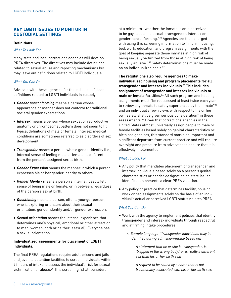# **KEY LGBTI ISSUES TO MONITOR IN CUSTODIAL SETTINGS**

#### **Definitions**

#### *What To Look For*

Many state and local corrections agencies will develop PREA directives. The directives may include definitions related to sexual abuse and reporting mechanisms but may leave out definitions related to LGBTI individuals.

#### *What You Can Do*

Advocate with these agencies for the inclusion of clear definitions related to LGBTI individuals in custody.

- **•** *Gender nonconforming* means a person whose appearance or manner does not conform to traditional societal gender expectations.
- **•** *Intersex* means a person whose sexual or reproductive anatomy or chromosomal pattern does not seem to fit typical definitions of male or female. Intersex medical conditions are sometimes referred to as disorders of sex development.
- **•** *Transgender* means a person whose gender identity (i.e., internal sense of feeling male or female) is different from the person's assigned sex at birth.
- **•** *Gender Expression* means the manner in which a person expresses his or her gender identity to others.
- **•** *Gender Identity* means a person's internal, deeply felt sense of being male or female, or in between, regardless of the person's sex at birth.
- **•** *Questioning* means a person, often a younger person, who is exploring or unsure about their sexual orientation, gender identity and/or gender expression.
- **•** *Sexual orientation* means the internal experience that determines one's physical, emotional or other attraction to men, women, both or neither (asexual). Everyone has a sexual orientation.

#### **Individualized assessments for placement of LGBTI individuals.**

The final PREA regulations require adult prisons and jails and juvenile detention facilities to screen individuals within 72 hours of intake to assess the individual's risk for sexual victimization or abuse.<sup>29</sup> This screening "shall consider,

at a minimum…whether the inmate is or is perceived to be gay, lesbian, bisexual, transgender, intersex or gender nonconforming."30 Agencies are then charged with using this screening information to "inform housing, bed, work, education, and program assignments with the goal of keeping separate those inmates at high risk of being sexually victimized from those at high risk of being sexually abusive."31 Safety determinations must be made on an individualized basis.32

**The regulations also require agencies to make individualized housing and program placements for all transgender and intersex individuals.**33 **This includes assignment of transgender and intersex individuals to male or female facilities.**34 All such program and housing assignments must "be reassessed at least twice each year to review any threats to safety experienced by the inmate"35 and an individual's "own views with respect to his or her own safety shall be given serious consideration" in these assessments.36 Given that corrections agencies in the United States almost universally assign people to male or female facilities based solely on genital characteristics or birth assigned sex, this standard marks an important and significant departure from current practice and will require oversight and pressure from advocates to ensure that it is effectively implemented.

#### *What To Look For*

- **•** Any policy that mandates placement of transgender and intersex individuals based solely on a person's genital characteristics or gender designation on state issued identification presents a clear PREA violation.
- **•** Any policy or practice that determines facility, housing, work or bed assignments solely on the basis of an individual's actual or perceived LGBTI status violates PREA.

#### *What You Can Do*

- **•** Work with the agency to implement policies that identify transgender and intersex individuals through respectful and affirming intake procedures.
	- **•** *Sample language*:*"Transgender individuals may be identified during admission/intake based on:*

*A statement that he or she is transgender, is 'trapped in the wrong body,' or is really a different sex than his or her birth sex;*

*A request to be called by a name that is not traditionally associated with his or her birth sex;*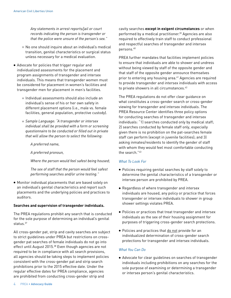*Any statements in arrest reports/jail or court records indicating the person is transgender or that the police were unsure of the person's sex."*

- **•** No one should inquire about an individual's medical transition, genital characteristics or surgical status unless necessary for a medical evaluation.
- **•** Advocate for policies that trigger regular and individualized assessments for the placement and program assignments of transgender and intersex individuals. This means that transgender women must be considered for placement in women's facilities and transgender men for placement in men's facilities.
	- **•** Individual assessments should also include an individual's sense of his or her own safety in different placement options (i.e., male vs. female facilities, general population, protective custody).
	- **•** *Sample Language: "A transgender or intersex individual shall be provided with a form or screening questionnaire to be conducted or filled out in private that will allow the person to select the following:*
		- *A preferred name,*

*A preferred pronoun,*

*Where the person would feel safest being housed;*

*The sex of staff that the person would feel safest performing searches and/or urine testing."*

**•** Monitor individual placements that are based solely on an individual's genital characteristics and report such placements and the underlying policies and practices to auditors.

#### **Searches and supervision of transgender individuals.**

The PREA regulations prohibit any search that is conducted for the sole purpose of determining an individual's genital status.<sup>37</sup>

All cross-gender pat, strip and cavity searches are subject to strict guidelines under PREA but restrictions on crossgender pat searches of female individuals do not go into effect until August 2015.<sup>38</sup> Even though agencies are not required to be in compliance with all search provisions, all agencies should be taking steps to implement policies consistent with the cross-gender pat and strip search prohibitions prior to the 2015 effective date. Under the regular effective dates for PREA compliance, agencies are prohibited from conducting cross-gender strip and

cavity searches **except in exigent circumstances** or when performed by a medical practitioner.39 Agencies are also required to effectively train staff to conduct professional and respectful searches of transgender and intersex persons.40

PREA further mandates that facilities implement policies to ensure that individuals are able to shower and undress without being viewed by staff of the opposite gender and that staff of the opposite gender announce themselves prior to entering any housing area.<sup>41</sup> Agencies are required to provide transgender and intersex individuals with access to private showers in all circumstances.<sup>42</sup>

The PREA regulations do not offer clear guidance on what constitutes a cross-gender search or cross-gender viewing for transgender and intersex individuals. The PREA Resource Center identifies three policy options for conducting searches of transgender and intersex individuals: "1) searches conducted only by medical staff; 2) searches conducted by female staff only, especially given there is no prohibition on the pat-searches female staff can perform (except in juvenile facilities); and 3) asking inmates/residents to identify the gender of staff with whom they would feel most comfortable conducting the search "43

#### *What To Look For*

- **•** Policies requiring genital searches by staff solely to determine the genital characteristics of a transgender or intersex person are prohibited by PREA.
- **•** Regardless of where transgender and intersex individuals are housed, any policy or practice that forces transgender or intersex individuals to shower in group shower settings violates PREA.
- **•** Policies or practices that treat transgender and intersex individuals as the sex of their housing assignment for purposes of triggering cross-gender search protections.
- **•** Policies and practices that do not provide for an individualized determination of cross-gender search protections for transgender and intersex individuals.

#### *What You Can Do*

**•** Advocate for clear guidelines on searches of transgender individuals including prohibitions on any searches for the sole purpose of examining or determining a transgender or intersex person's genital characteristics.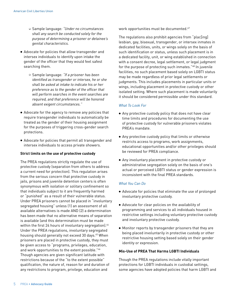- **•** Sample language*: "Under no circumstances shall any search be conducted solely for the purpose of determining a prisoner or detainee's genital characteristics.*
- **•** Advocate for policies that allow transgender and intersex individuals to identify upon intake the gender of the officer that they would feel safest searching them.
	- **•** Sample language*: "If a prisoner has been identified as transgender or intersex, he or she shall be asked at intake to indicate his or her preference as to the gender of the officer that will perform searches in the event searches are required, and that preference will be honored absent exigent circumstances."*
- **•** Advocate for the agency to remove any policies that require transgender individuals to automatically be treated as the gender of their housing assignment for the purposes of triggering cross-gender search protections.
- **•** Advocate for policies that permit all transgender and intersex individuals to access private showers.

#### **Strict limits on the use of protective custody**

The PREA regulations strictly regulate the use of protective custody (separation from others to address a current need for protection). This regulation arises from the serious concern that protective custody in jails, prisons and juvenile detention centers is often synonymous with isolation or solitary confinement so that individuals subject to it are frequently harmed or "punished" as a result of their vulnerable status. Under PREA prisoners cannot be placed in "involuntary segregated housing" unless (1) an assessment of all available alternatives is made AND (2) a determination has been made that no alternative means of separation is available (and this determination must be made within the first 24 hours of involuntary segregation).<sup>44</sup> Under the PREA regulations, involuntary segregated housing should generally not exceed 30 days.<sup>45</sup> When prisoners are placed in protective custody, they must be given access to "programs, privileges, education, and work opportunities to the extent possible."46 Though agencies are given significant latitude with restrictions because of the "to the extent possible" qualification, the nature of, reason for and duration of any restrictions to program, privilege, education and

work opportunities must be documented.<sup>47</sup>

The regulations also prohibit agencies from "plac[ing] lesbian, gay, bisexual, transgender, or intersex inmates in dedicated facilities, units, or wings solely on the basis of such identification or status, unless such placement is in a dedicated facility, unit, or wing established in connection with a consent decree, legal settlement, or legal judgment for the purpose of protecting such inmates."48 In juvenile facilities, no such placement based solely on LGBTI status may be made regardless of prior legal settlements or judgments. This includes placements in particular units or wings, including placement in protective custody or other isolated setting. Where such placement is made voluntarily it should be considered permissible under this standard.

#### *What To Look For*

- **•** Any protective custody policy that does not have clear time limits and procedures for documenting the use of protective custody for vulnerable prisoners violates PREA's mandate.
- **•** Any protective custody policy that limits or otherwise restricts access to programs, work assignments, educational opportunities and/or other privileges should be reviewed for PREA compliance.
- **•** Any involuntary placement in protective custody or administrative segregation solely on the basis of one's actual or perceived LGBTI status or gender expression is inconsistent with the final PREA standards.

#### *What You Can Do*

- **•** Advocate for policies that eliminate the use of prolonged involuntary protective custody.
- **•** Advocate for clear policies on the availability of programming and services to all individuals housed in restrictive settings including voluntary protective custody and involuntary protective custody.
- **•** Monitor reports by transgender prisoners that they are being placed involuntarily in protective custody or other restrictive housing setting based solely on their gender identity or expression.

#### **Mis-Use of PREA That Harms LGBTI Individuals**

Though the PREA regulations include vitally important protections for LGBTI individuals in custodial settings, some agencies have adopted policies that harm LGBTI and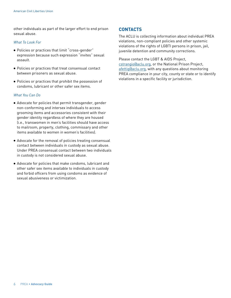other individuals as part of the larger effort to end prison sexual abuse.

#### *What To Look For*

- **•** Policies or practices that limit "cross-gender" expression because such expression "invites" sexual assault.
- **•** Policies or practices that treat consensual contact between prisoners as sexual abuse.
- **•** Policies or practices that prohibit the possession of condoms, lubricant or other safer sex items.

#### *What You Can Do*

- **•** Advocate for policies that permit transgender, gender non-conforming and intersex individuals to access grooming items and accessories consistent with their gender identity regardless of where they are housed (i.e., transwomen in men's facilities should have access to mailroom, property, clothing, commissary and other items available to women in women's facilities).
- **•** Advocate for the removal of policies treating consensual contact between individuals in custody as sexual abuse. Under PREA consensual contact between two individuals in custody is not considered sexual abuse.
- **•** Advocate for policies that make condoms, lubricant and other safer sex items available to individuals in custody and forbid officers from using condoms as evidence of sexual abusiveness or victimization.

### **CONTACTS**

The ACLU is collecting information about individual PREA violations, non-compliant policies and other systemic violations of the rights of LGBTI persons in prison, jail, juvenile detention and community corrections.

Please contact the LGBT & AIDS Project, [cstrangio@aclu.org,](mailto:cstrangio@aclu.org) or the National Prison Project, [afettig@aclu.org](mailto:afettig@npp-aclu.org), with any questions about monitoring PREA compliance in your city, county or state or to identify violations in a specific facility or jurisdiction.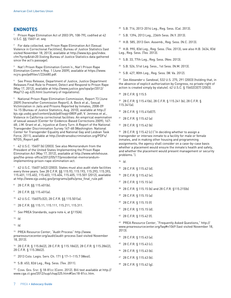# **ENDNOTES**

Prison Rape Elimination Act of 2003 (PL 108-79), codified at 42 U.S.C. §§ 15601 *et. seq*.

2 For data collected, see Prison Rape Elimination Act (Sexual Violence in Correctional Facilities), Bureau of Justice Statistics (last visited November 18, 2013), available at http://www.bjs.gov/index. cfm?ty=tp&tid=20 (listing Bureau of Justice Statistics data gathered since the act's passage).

3 Nat'l Prison Rape Elimination Comm'n., Nat'l Prison Rape Elimination Comm'n Rep. 1 (June 2009), available at [https://www.](https://www.ncjrs.gov/pdffiles1/226680.pdf) [ncjrs.gov/pdffiles1/226680.pdf.](https://www.ncjrs.gov/pdffiles1/226680.pdf)

4 See Press Release, Department of Justice, Justice Department Releases Final Rule to Prevent, Detect and Respond to Prison Rape (May 17, 2012), available at http://www.justice.gov/opa/pr/2012/ May/12-ag-635.html (summary of regulations).

5 National Prison Rape Elimination Commission, Report 73 (June 2009) (hereinafter Commission Report); A. Beck et al., Sexual Victimization in Jails and Prisons Reported by Inmates, 2008-09 14-15 (Bureau of Justice Statistics, Aug. 2010), available at http:// bjs.ojp.usdoj.gov/content/pub/pdf/svpjri0809.pdf; V. Jenness et al., Violence in California correctional facilities: An empirical examination of sexual assault (Center for Evidence-Based Corrections 2009); 167- 68; J.M. Grant et al., Injustice at Every Turn: A Report of the National Transgender Discrimination Survey 167-68 (Washington: National Center for Transgender Equality and National Gay and Lesbian Task Force, 2011), available at [http://endtransdiscrimination.org/PDFs/](http://endtransdiscrimination.org/PDFs/NTDS_Report.pdf) [NTDS\\_Report.pdf.](http://endtransdiscrimination.org/PDFs/NTDS_Report.pdf)

6 42 U.S.C. 15607 (b) (2003). See also Memorandum from the President of the United States Implementing the Prison Rape Elimination Act (May 17, 2012), available at [http://www.whitehouse.](http://www.whitehouse.gov/the-press-office/2012/05/17/presidential-memorandum-implementing-prison-rape-elimination-act) [gov/the-press-office/2012/05/17/presidential-memorandum](http://www.whitehouse.gov/the-press-office/2012/05/17/presidential-memorandum-implementing-prison-rape-elimination-act)[implementing-prison-rape-elimination-act](http://www.whitehouse.gov/the-press-office/2012/05/17/presidential-memorandum-implementing-prison-rape-elimination-act).

7 42 U.S.C. 15607 (e)(2) (2003). States must also audit state facilities every three years. See 28 C.F.R. §§ 115.93, 115.193, 115.293, 115.393, 115.401, 115.402, 115.403, 115.404, 115.405, 115.501 (2012), available at [http://www.ojp.usdoj.gov/programs/pdfs/prea\\_final\\_rule.pdf.](http://www.ojp.usdoj.gov/programs/pdfs/prea_final_rule.pdf)

- 8 28 C.F.R. §§ 115.401(b).
- 9 28 C.F.R. §§ 115.401(a).
- 10 42 U.S.C. 15607(c)(2); 28 C.F.R. §§ 115.501(a).
- 11 28 C.F.R. §§ 115.11, 115.111, 115.211, 115.311.
- <sup>12</sup> *See* PREA Standards, *supra* note 4, at §115(A).
- <sup>13</sup> *Id.*
- <sup>14</sup> *Id.*

15 PREA Resource Center, "Audit Process" [http://www.](http://www.prearesourcecenter.org/audit/audit-process) [prearesourcecenter.org/audit/audit-process](http://www.prearesourcecenter.org/audit/audit-process) (last visited November 18, 2013).

16 28 C.F.R. § 115.86(2), 28 C.F.R. § 115.186(2), 28 C.F.R. § 115.286(2), 28 C.F.R. § 115.386(2).

17 2013 Colo. Legis. Serv. Ch. 171 § 17–1–115.7 (West).

18 S.B. 653, 82d Leg., Reg. Sess. (Tex. 2011).

<sup>19</sup> Conn. Gen. Stat. § 18-81cc (Conn. 2012). Bill text available at http:// www.cga.ct.gov/2012/sup/chap325.htm#Sec18-81cc.htm.

- 20 S.B. 716, 2013-2014 Leg., Reg. Sess. (Cal. 2013).
- 21 S.B. 1394, 2013 Leg., 236th Sess. (N.Y. 2013).
- 22 H.B. 585, 2013 Gen. Assemb., Reg. Sess. (N.C. 2013).

23 H.B. 990, 83d Leg., Reg. Sess. (Tex. 2013); see also H.B. 3634, 83d Leg., Reg. Sess. (Tex. 2013).

- 24 S.B. 33, 77th Leg., Reg. Sess. (Nev. 2013).
- 25 S.B. 526, 51st Leg. Sess., 1st Sess. (N.M. 2013).
- 26 S.B. 427, 80th Leg., Reg. Sess. (W. Va. 2012).

<sup>27</sup> *See Alexander v. Sandoval*, 532 U.S. 275, 291 (2003) (holding that, in the absence of explicit authorization by Congress, no private right of action is created simply by statute). 42 U.S.C. § 15602(3)(7) (2003).

28 28 C.F.R. § 115.5

29 28 C.F.R. § 115.41(b); 28 C.F.R. § 115.241 (b); 28 C.F.R. § 115.341(a).

- 30 28 C.F.R. § 115.41(d)(7).
- 31 28 C.F.R. § 115.42 (a)
- 32 28 C.F.R. § 115.42 (b)

33 28 C.F.R. § 115.42 (c) ("In deciding whether to assign a transgender or intersex inmate to a facility for male or female inmates, and in making other housing and programming assignments, the agency shall consider on a case-by-case basis whether a placement would ensure the inmate's health and safety, and whether the placement would present management or security problems.").

- <sup>34</sup> *Id*.
- 35 28 C.F.R. § 115.42 (d).
- 36 28 C.F.R. § 115.42 (e).
- 37 28 C.F.R. § 115.15 (e)
- 38 28 C.F.R. § 115.15 (b) and 28 C.F.R. §115.215(b)
- 39 28 C.F.R. § 115.15 (a)
- 40 28 C.F.R. § 115.15 (f)
- 41 28 C.F.R. § 115.15 (d).
- 42 28 C.F.R. § 115.42 (f).

43 PREA Resource Center, "Frequently Asked Questions," http:// www.prearesourcecenter.org/faq#n1069 (last visited November 18, 2013).

- 44 28 C.F.R. § 115.43 (a).
- 45 28 C.F.R. § 115.43 (c).
- 46 28 C.F.R. § 115.43 (b).
- 47 28 C.F.R. § 115.43 (b).
- 48 28 C.F.R. § 115.42 (g).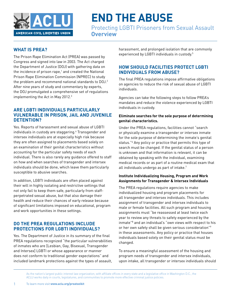

Protecting LGBTI Prisoners from Sexual Assault **Overview**

# **WHAT IS PREA?**

The Prison Rape Elimination Act (PREA) was passed by Congress and signed into law in 2003. The Act charged the Department of Justice (DOJ) with gathering data on the incidence of prison rape,<sup>1</sup> and created the National Prison Rape Elimination Commission (NPREC) to study the problem and recommend national standards to DOJ.<sup>2</sup> After nine years of study and commentary by experts, the DOJ promulgated a comprehensive set of regulations implementing the Act in May 2012.3

# **ARE LGBTI INDIVIDUALS PARTICULARLY VULNERABLE IN PRISON, JAIL AND JUVENILE DETENTION?**

Yes. Reports of harassment and sexual abuse of LGBTI individuals in custody are staggering.4 Transgender and intersex individuals are at especially high risk because they are often assigned to placements based solely on an examination of their genital characteristics without accounting for the particular safety needs of each individual. There is also rarely any guidance offered to staff on how and when searches of transgender and intersex individuals should be done, which leave them particularly susceptible to abusive searches.

In addition, LGBTI individuals are often placed against their will in highly isolating and restrictive settings that not only fail to keep them safe, particularly from staffperpetrated sexual abuse, but that also damage their health and reduce their chances of early release because of significant limitations imposed on educational, program and work opportunities in these settings.

# **DO THE PREA REGULATIONS INCLUDE PROTECTIONS FOR LGBTI INDIVIDUALS?**

Yes. The Department of Justice in its summary of the final PREA regulations recognized "the particular vulnerabilities of inmates who are [Lesbian, Gay, Bisexual, Transgender and Intersex] LGBTI or whose appearance or manner does not conform to traditional gender expectations" and included landmark protections against the types of assault,

harassment, and prolonged isolation that are commonly experienced by LGBTI individuals in custody.5

# **HOW SHOULD FACILITIES PROTECT LGBTI INDIVIDUALS FROM ABUSE?**

The final PREA regulations impose affirmative obligations on agencies to reduce the risk of sexual abuse of LGBTI individuals.

Agencies can take the following steps to follow PREA's mandates and reduce the violence experienced by LGBTI individuals in custody.

#### **Eliminate searches for the sole purpose of determining genital characteristics.**

Under the PREA regulations, facilities cannot "search or physically examine a transgender or intersex inmate for the sole purpose of determining the inmate's genital status."6 Any policy or practice that permits this type of search must be changed. If the genital status of a person is unknown and that information is relevant, it can be obtained by speaking with the individual, examining medical records or as part of a routine medical exam that all individuals undergo as part of intake.<sup>7</sup>

### **Institute Individualizing Housing, Program and Work Assignments for Transgender & Intersex Individuals**

The PREA regulations require agencies to make individualized housing and program placements for all transgender and intersex individuals. This includes assignment of transgender and intersex individuals to male or female facilities. All such program and housing assignments must "be reassessed at least twice each year to review any threats to safety experienced by the inmate"8 and an individual's "own views with respect to his or her own safety shall be given serious consideration"9 in these assessments. Any policy or practice that houses individuals based solely on their genital status must be changed.

To ensure a meaningful assessment of the housing and program needs of transgender and intersex individuals, upon intake, all transgender or intersex individuals should

As the nation's largest public interest law organization, with affiliate offices in every state and a legislative office in Washington D.C., the ACLU works daily in courts, legislatures, and communities to promote more effective criminal justice policies.

1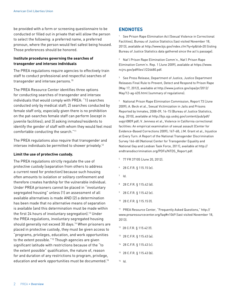be provided with a form or screening questionnaire to be conducted or filled out in private that will allow the person to select the following: a preferred name, a preferred pronoun, where the person would feel safest being housed. Those preferences should be honored.

#### **Institute procedures governing the searches of transgender and intersex individuals**

The PREA regulations require agencies to effectively train staff to conduct professional and respectful searches of transgender and intersex persons.10

The PREA Resource Center identifies three options for conducting searches of transgender and intersex individuals that would comply with PREA: "1) searches conducted only by medical staff; 2) searches conducted by female staff only, especially given there is no prohibition on the pat-searches female staff can perform (except in juvenile facilities); and 3) asking inmates/residents to identify the gender of staff with whom they would feel most comfortable conducting the search."11

The PREA regulations also require that transgender and intersex individuals be permitted to shower privately.12

#### **Limit the use of protective custody.**

The PREA regulations strictly regulate the use of protective custody (separation from others to address a current need for protection) because such housing often amounts to isolation or solitary confinement and therefore creates hardship for the vulnerable individual. Under PREA prisoners cannot be placed in "involuntary segregated housing" unless (1) an assessment of all available alternatives is made AND (2) a determination has been made that no alternative means of separation is available (and this determination must be made within the first 24 hours of involuntary segregation).13 Under the PREA regulations, involuntary segregated housing should generally not exceed 30 days.14 When prisoners are placed in protective custody, they must be given access to "programs, privileges, education, and work opportunities to the extent possible."15 Though agencies are given significant latitude with restrictions because of the "to the extent possible" qualification, the nature of, reason for and duration of any restrictions to program, privilege, education and work opportunities must be documented.16

#### **ENDNOTES**

<sup>1</sup> See Prison Rape Elimination Act (Sexual Violence in Correctional Facilities), Bureau of Justice Statistics (last visited November 18, 2013), available at http://www.bjs.gov/index.cfm?ty=tp&tid=20 (listing Bureau of Justice Statistics data gathered since the act's passage).

2 Nat'l Prison Rape Elimination Comm'n., Nat'l Prison Rape Elimination Comm'n. Rep. 1 (June 2009), available at [https://www.](https://www.ncjrs.gov/pdffiles1/226680.pdf) [ncjrs.gov/pdffiles1/226680.pdf.](https://www.ncjrs.gov/pdffiles1/226680.pdf)

<sup>3</sup> See Press Release, Department of Justice, Justice Department Releases Final Rule to Prevent, Detect and Respond to Prison Rape (May 17, 2012), available at http://www.justice.gov/opa/pr/2012/ May/12-ag-635.html (summary of regulations).

4 National Prison Rape Elimination Commission, Report 73 (June 2009); A. Beck et al., Sexual Victimization in Jails and Prisons Reported by Inmates, 2008-09, 14-15 (Bureau of Justice Statistics, Aug. 2010), available at http://bjs.ojp.usdoj.gov/content/pub/pdf/ svpjri0809.pdf; V. Jenness et al., Violence in California correctional facilities: An empirical examination of sexual assault (Center for Evidence-Based Corrections 2009); 167-68; J.M. Grant et al., Injustice at Every Turn: A Report of the National Transgender Discrimination Survey 166-68 (National Center for Transgender Equality and National Gay and Lesbian Task Force, 2011), available at [http://](http://endtransdiscrimination.org/PDFs/NTDS_Report.pdf) [endtransdiscrimination.org/PDFs/NTDS\\_Report.pdf](http://endtransdiscrimination.org/PDFs/NTDS_Report.pdf).

- 5 77 FR 37105 (June 20, 2012).
- 6 28 C.F.R. § 115.15 (e).
- $<sup>7</sup>$  Id.</sup>
- 8 28 C.F.R. § 115.42 (d).
- 9 28 C.F.R. § 115.42 (e).
- 10 28 C.F.R. § 115.15 (f).

11 PREA Resource Center, "Frequently Asked Questions," http:// www.prearesourcecenter.org/faq#n1069 (last visited November 18, 2013).

- <sup>12</sup> 28 C.F.R. § 115.42 (f).
- 13 28 C.F.R. § 115.43 (a).
- 14 28 C.F.R. § 115.43 (c).
- 15 28 C.F.R. § 115.43 (b).
- $16$  Id.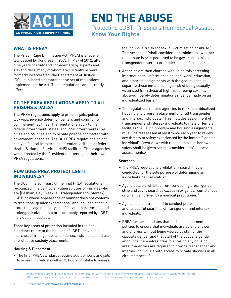

Protecting LGBTI Prisoners from Sexual Assault **Know Your Rights**

# **WHAT IS PREA?**

The Prison Rape Elimination Act (PREA) is a federal law passed by Congress in 2003. In May of 2012, after nine years of study and commentary by experts and stakeholders, many of whom are currently or were formerly incarcerated, the Department of Justice (DOJ) published a comprehensive set of regulations implementing the Act. These regulations are currently in effect.

# **DO THE PREA REGULATIONS APPLY TO ALL PRISONS & JAILS?**

The PREA regulations apply to prisons, jails, police lock-ups, juvenile detention centers and community confinement facilities. The regulations apply to the federal government, states, and local governments like cities and counties and to private prisons contracted with government agencies. The DOJ PREA regulations do not apply to federal immigration detention facilities or federal Health & Human Services (HHS) facilities. These agencies were directed by the President to promulgate their own PREA regulations.

# **HOW DOES PREA PROTECT LGBTI INDIVIDUALS?**

The DOJ in its summary of the final PREA regulations recognized "the particular vulnerabilities of inmates who are [Lesbian, Gay, Bisexual, Transgender and Intersex] LGBTI or whose appearance or manner does not conform to traditional gender expectations" and included specific protections against the types of assault, harassment, and prolonged isolation that are commonly reported by LGBTI individuals in custody.

Three key areas of protection included in the final standards relate to the housing of LGBTI individuals, searches of transgender and intersex individuals, and use of protective custody placements.

#### **Housing & Placement**

**•** The final PREA standards require adult prisons and jails to screen individuals within 72 hours of intake to assess

the individual's risk for sexual victimization or abuse.<sup>1</sup> This screening "shall consider, at a minimum…whether the inmate is or is perceived to be gay, lesbian, bisexual, transgender, intersex or gender nonconforming."2

- **•** Agencies are then charged with using this screening information to "inform housing, bed, work, education, and program assignments with the goal of keeping separate those inmates at high risk of being sexually victimized from those at high risk of being sexually abusive."3 Safety determinations must be made on an individualized basis.4
- **•** The regulations require agencies to make individualized housing and program placements for all transgender and intersex individuals.5 This includes assignment of transgender and intersex individuals to male or female facilities.<sup>6</sup> All such program and housing assignments must "be reassessed at least twice each year to review any threats to safety experienced by the inmate"<sup>7</sup> and an individual's "own views with respect to his or her own safety shall be given serious consideration" in these  $ascesments<sup>8</sup>$

#### **Searches**

- **•** The PREA regulations prohibit any search that is conducted for the sole purpose of determining an individual's genital status.<sup>9</sup>
- **•** Agencies are prohibited from conducting cross-gender strip and cavity searches except in exigent circumstances or when performed by a medical practitioner.<sup>10</sup>
- **•** Agencies must train staff to conduct professional and respectful searches of transgender and intersex individuals.11
- **•** PREA further mandates that facilities implement policies to ensure that individuals are able to shower and undress without being viewed by staff of the opposite gender and that staff of the opposite gender announce themselves prior to entering any housing area.<sup>12</sup> Agencies are required to provide transgender and intersex individuals with access to private showers in all circumstances.13

As the nation's largest public interest law organization, with affiliate offices in every state and a legislative office in Washington D.C., the ACLU works daily in courts, legislatures, and communities to promote more effective criminal justice policies.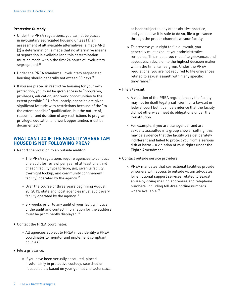#### **Protective Custody**

- **•** Under the PREA regulations, you cannot be placed in involuntary segregated housing unless (1) an assessment of all available alternatives is made AND (2) a determination is made that no alternative means of separation is available (and this determination must be made within the first 24 hours of involuntary segregation).<sup>14</sup>
- **•** Under the PREA standards, involuntary segregated housing should generally not exceed 30 days.<sup>15</sup>
- **•** If you are placed in restrictive housing for your own protection, you must be given access to "programs, privileges, education, and work opportunities to the extent possible."16 Unfortunately, agencies are given significant latitude with restrictions because of the "to the extent possible" qualification, but the nature of, reason for and duration of any restrictions to program, privilege, education and work opportunities must be documented.17

### **WHAT CAN I DO IF THE FACILITY WHERE I AM HOUSED IS NOT FOLLOWING PREA?**

- **•** Report the violation to an outside auditor.
	- **•** The PREA regulations require agencies to conduct one audit (or review) per year of at least one third of each facility type (prison, jail, juvenile facility, overnight lockup, and community confinement facility) operated by the agency.<sup>18</sup>
	- **•** Over the course of three years beginning August 20, 2013, state and local agencies must audit every facility operated by the agency.19
	- **•** Six weeks prior to any audit of your facility, notice of the audit and contact information for the auditors must be prominently displayed.20
- **•** Contact the PREA coordinator.
	- **•** All agencies subject to PREA must identify a PREA coordinator to monitor and implement compliant policies.21
- **•** File a grievance.
	- **•** If you have been sexually assaulted, placed involuntarily in protective custody, searched or housed solely based on your genital characteristics

or been subject to any other abusive practice, and you believe it is safe to do so, file a grievance through the proper channels at your facility.

- **•** To preserve your right to file a lawsuit, you generally must exhaust your administrative remedies. This means you must file grievances and appeal each decision to the highest decision maker within the timeframes given. Under the PREA regulations, you are not required to file grievances related to sexual assault within any specific timeframe.<sup>22</sup>
- **•** File a lawsuit.
	- **•** A violation of the PREA regulations by the facility may not be itself legally sufficient for a lawsuit in federal court but it can be evidence that the facility did not otherwise meet its obligations under the Constitution.
	- **•** For example, if you are transgender and are sexually assaulted in a group shower setting, this may be evidence that the facility was deliberately indifferent and failed to protect you from a serious risk of harm – a violation of your rights under the Eighth Amendment.
- **•** Contact outside service providers
	- **•** PREA mandates that correctional facilities provide prisoners with access to outside victim advocates for emotional support services related to sexual abuse by giving mailing addresses and telephone numbers, including toll-free hotline numbers where available. $23$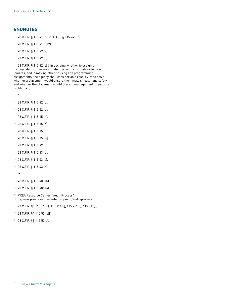# **ENDNOTES**

- 1 28 C.F.R. § 115.41 (b); 28 C.F.R. § 115.241 (b).
- 2 28 C.F.R. § 115.41 (d)(7).
- 3 28 C.F.R. § 115.42 (a).
- 4 28 C.F.R. § 115.42 (b).

5 28 C.F.R. § 115.42 (c) ("In deciding whether to assign a transgender or intersex inmate to a facility for male or female inmates, and in making other housing and programming assignments, the agency shall consider on a case-by-case basis whether a placement would ensure the inmate's health and safety, and whether the placement would present management or security problems.").

- <sup>6</sup> *Id*.
- 7 28 C.F.R. § 115.42 (d).
- 8 28 C.F.R. § 115.42 (e).
- 9 28 C.F.R. § 115.15 (e).
- 10 28 C.F.R. § 115.15 (a).
- 11 28 C.F.R. § 115.15 (f).
- 12 28 C.F.R. § 115.15 (d).
- 13 28 C.F.R. § 115.42 (f).
- 14 28 C.F.R. § 115.43 (a).
- 15 28 C.F.R. § 115.43 (c).
- 16 28 C.F.R. § 115.43 (b).
- <sup>17</sup> *Id*.
- 18 28 C.F.R. § 115.401 (b).
- 19 28 C.F.R. § 115.401 (a).

20 PREA Resource Center, "Audit Process" <http://www.prearesourcecenter.org/audit/audit-process>.

- 21 28 C.F.R. §§ 115.11 (c), 115.111(b), 115.211(b), 115.311(c).
- 22 28 C.F.R. §§ 115.52 (b)(1).
- 23 28 C.F.R. §§ 115.53(a).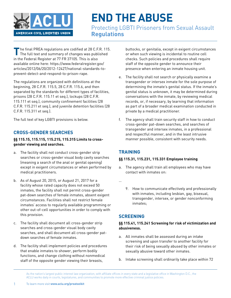

Protecting LGBTI Prisoners from Sexual Assault **Regulations**

The final PREA regulations are codified at 28 C.F.R. 115.<br>The full text and summary of changes was published in the Federal Register at 77 FR 37105. This is also available online here: [https://www.federalregister.gov/](https://www.federalregister.gov/articles/2012/06/20/2012-12427/national-standards-to-prevent-detect-and-respond-to-prison-rape) [articles/2012/06/20/2012-12427/national-standards-to](https://www.federalregister.gov/articles/2012/06/20/2012-12427/national-standards-to-prevent-detect-and-respond-to-prison-rape)[prevent-detect-and-respond-to-prison-rape](https://www.federalregister.gov/articles/2012/06/20/2012-12427/national-standards-to-prevent-detect-and-respond-to-prison-rape).

The regulations are organized with definitions at the beginning, 28 C.F.R. 115.5, 28 C.F.R. 115.6, and then separated by the standards for different types of facilities, prisons (28 C.F.R. 115.11 et seq.), lockups (28 C.F.R. 115.111 et seq.), community confinement facilities (28 C.F.R. 115.211 et seq.), and juvenile detention facilities (28 C.F.R. 115.311 et seq.).

The full text of key LGBTI provisions is below.

# **CROSS-GENDER SEARCHES**

### **§§ 115.15, 115.115, 115.215, 115.315 Limits to crossgender viewing and searches.**

- a. The facility shall not conduct cross-gender strip searches or cross-gender visual body cavity searches (meaning a search of the anal or genital opening) except in exigent circumstances or when performed by medical practitioners.
- b. As of August 20, 2015, or August 21, 2017 for a facility whose rated capacity does not exceed 50 inmates, the facility shall not permit cross-gender pat-down searches of female inmates, absent exigent circumstances. Facilities shall not restrict female inmates' access to regularly available programming or other out-of-cell opportunities in order to comply with this provision.
- c. The facility shall document all cross-gender strip searches and cross-gender visual body cavity searches, and shall document all cross-gender patdown searches of female inmates.
- d. The facility shall implement policies and procedures that enable inmates to shower, perform bodily functions, and change clothing without nonmedical staff of the opposite gender viewing their breasts,

buttocks, or genitalia, except in exigent circumstances or when such viewing is incidental to routine cell checks. Such policies and procedures shall require staff of the opposite gender to announce their presence when entering an inmate housing unit.

- e. The facility shall not search or physically examine a transgender or intersex inmate for the sole purpose of determining the inmate's genital status. If the inmate's genital status is unknown, it may be determined during conversations with the inmate, by reviewing medical records, or, if necessary, by learning that information as part of a broader medical examination conducted in private by a medical practitioner.
- f. The agency shall train security staff in how to conduct cross-gender pat-down searches, and searches of transgender and intersex inmates, in a professional and respectful manner, and in the least intrusive manner possible, consistent with security needs.

# **TRAINING**

### **§§ 115.31, 115.231, 115.331 Employee training**

- a. The agency shall train all employees who may have contact with inmates on:
- …
- 9. How to communicate effectively and professionally with inmates, including lesbian, gay, bisexual, transgender, intersex, or gender nonconforming inmates;

# **SCREENING**

### **§§ 115.41, 115.241 Screening for risk of victimization and abusiveness.**

- a. All inmates shall be assessed during an intake screening and upon transfer to another facility for their risk of being sexually abused by other inmates or sexually abusive toward other inmates.
- b. Intake screening shall ordinarily take place within 72

As the nation's largest public interest law organization, with affiliate offices in every state and a legislative office in Washington D.C., the ACLU works daily in courts, legislatures, and communities to promote more effective criminal justice policies.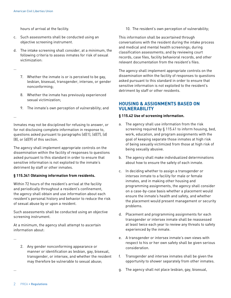hours of arrival at the facility.

- c. Such assessments shall be conducted using an objective screening instrument.
- d. The intake screening shall consider, at a minimum, the following criteria to assess inmates for risk of sexual victimization:

…

- 7. Whether the inmate is or is perceived to be gay, lesbian, bisexual, transgender, intersex, or gender nonconforming;
- 8. Whether the inmate has previously experienced sexual victimization;
- 9. The inmate's own perception of vulnerability; and

…

Inmates may not be disciplined for refusing to answer, or for not disclosing complete information in response to, questions asked pursuant to paragraphs (d)(1), (d)(7), (d) (8), or (d)(9) of this section.

The agency shall implement appropriate controls on the dissemination within the facility of responses to questions asked pursuant to this standard in order to ensure that sensitive information is not exploited to the inmate's detriment by staff or other inmates.

#### **§ 115.341 Obtaining information from residents.**

Within 72 hours of the resident's arrival at the facility and periodically throughout a resident's confinement, the agency shall obtain and use information about each resident's personal history and behavior to reduce the risk of sexual abuse by or upon a resident.

Such assessments shall be conducted using an objective screening instrument.

At a minimum, the agency shall attempt to ascertain information about:

…

…

2. Any gender nonconforming appearance or manner or identification as lesbian, gay, bisexual, transgender, or intersex, and whether the resident may therefore be vulnerable to sexual abuse;

10. The resident's own perception of vulnerability;

This information shall be ascertained through conversations with the resident during the intake process and medical and mental health screenings; during classification assessments; and by reviewing court records, case files, facility behavioral records, and other relevant documentation from the resident's files.

The agency shall implement appropriate controls on the dissemination within the facility of responses to questions asked pursuant to this standard in order to ensure that sensitive information is not exploited to the resident's detriment by staff or other residents.

# **HOUSING & ASSIGNMENTS BASED ON VULNERABILITY**

# **§ 115.42 Use of screening information.**

- a. The agency shall use information from the risk screening required by § 115.41 to inform housing, bed, work, education, and program assignments with the goal of keeping separate those inmates at high risk of being sexually victimized from those at high risk of being sexually abusive.
- b. The agency shall make individualized determinations about how to ensure the safety of each inmate.
- c. In deciding whether to assign a transgender or intersex inmate to a facility for male or female inmates, and in making other housing and programming assignments, the agency shall consider on a case-by-case basis whether a placement would ensure the inmate's health and safety, and whether the placement would present management or security problems.
- d. Placement and programming assignments for each transgender or intersex inmate shall be reassessed at least twice each year to review any threats to safety experienced by the inmate.
- e. A transgender or intersex inmate's own views with respect to his or her own safety shall be given serious consideration.
- f. Transgender and intersex inmates shall be given the opportunity to shower separately from other inmates.
- g. The agency shall not place lesbian, gay, bisexual,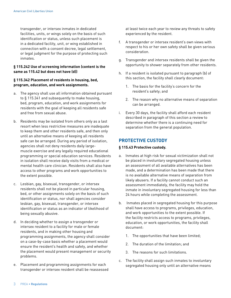transgender, or intersex inmates in dedicated facilities, units, or wings solely on the basis of such identification or status, unless such placement is in a dedicated facility, unit, or wing established in connection with a consent decree, legal settlement, or legal judgment for the purpose of protecting such inmates.

#### **§ 115.242 Use of screening information (content is the same as 115.42 but does not have (d))**

#### **§ 115.342 Placement of residents in housing, bed, program, education, and work assignments.**

- a. The agency shall use all information obtained pursuant to § 115.341 and subsequently to make housing, bed, program, education, and work assignments for residents with the goal of keeping all residents safe and free from sexual abuse.
- b. Residents may be isolated from others only as a last resort when less restrictive measures are inadequate to keep them and other residents safe, and then only until an alternative means of keeping all residents safe can be arranged. During any period of isolation, agencies shall not deny residents daily largemuscle exercise and any legally required educational programming or special education services. Residents in isolation shall receive daily visits from a medical or mental health care clinician. Residents shall also have access to other programs and work opportunities to the extent possible.
- c. Lesbian, gay, bisexual, transgender, or intersex residents shall not be placed in particular housing, bed, or other assignments solely on the basis of such identification or status, nor shall agencies consider lesbian, gay, bisexual, transgender, or intersex identification or status as an indicator of likelihood of being sexually abusive.
- d. In deciding whether to assign a transgender or intersex resident to a facility for male or female residents, and in making other housing and programming assignments, the agency shall consider on a case-by-case basis whether a placement would ensure the resident's health and safety, and whether the placement would present management or security problems.
- e. Placement and programming assignments for each transgender or intersex resident shall be reassessed

at least twice each year to review any threats to safety experienced by the resident.

- f. A transgender or intersex resident's own views with respect to his or her own safety shall be given serious consideration.
- g. Transgender and intersex residents shall be given the opportunity to shower separately from other residents.
- h. If a resident is isolated pursuant to paragraph (b) of this section, the facility shall clearly document:
	- 1. The basis for the facility's concern for the resident's safety; and
	- 2. The reason why no alternative means of separation can be arranged.
- i. Every 30 days, the facility shall afford each resident described in paragraph of this section a review to determine whether there is a continuing need for separation from the general population.

# **PROTECTIVE CUSTODY**

#### **§ 115.43 Protective custody.**

- a. Inmates at high risk for sexual victimization shall not be placed in involuntary segregated housing unless an assessment of all available alternatives has been made, and a determination has been made that there is no available alternative means of separation from likely abusers. If a facility cannot conduct such an assessment immediately, the facility may hold the inmate in involuntary segregated housing for less than 24 hours while completing the assessment.
- b. Inmates placed in segregated housing for this purpose shall have access to programs, privileges, education, and work opportunities to the extent possible. If the facility restricts access to programs, privileges, education, or work opportunities, the facility shall document:
	- 1. The opportunities that have been limited;
	- 2. The duration of the limitation; and
	- 3. The reasons for such limitations.
- c. The facility shall assign such inmates to involuntary segregated housing only until an alternative means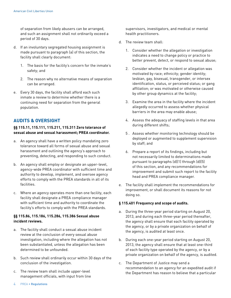of separation from likely abusers can be arranged, and such an assignment shall not ordinarily exceed a period of 30 days.

- d. If an involuntary segregated housing assignment is made pursuant to paragraph (a) of this section, the facility shall clearly document:
	- 1. The basis for the facility's concern for the inmate's safety; and
	- 2. The reason why no alternative means of separation can be arranged.
- e. Every 30 days, the facility shall afford each such inmate a review to determine whether there is a continuing need for separation from the general population.

# **AUDITS & OVERSIGHT**

#### **§§ 115.11, 115.111, 115.211, 115.311 Zero tolerance of sexual abuse and sexual harassment; PREA coordinator.**

- a. An agency shall have a written policy mandating zero tolerance toward all forms of sexual abuse and sexual harassment and outlining the agency's approach to preventing, detecting, and responding to such conduct.
- b. An agency shall employ or designate an upper-level, agency-wide PREA coordinator with sufficient time and authority to develop, implement, and oversee agency efforts to comply with the PREA standards in all of its facilities.
- c. Where an agency operates more than one facility, each facility shall designate a PREA compliance manager with sufficient time and authority to coordinate the facility's efforts to comply with the PREA standards.

#### **§§ 115.86, 115.186, 115.286, 115.386 Sexual abuse incident reviews.**

- a. The facility shall conduct a sexual abuse incident review at the conclusion of every sexual abuse investigation, including where the allegation has not been substantiated, unless the allegation has been determined to be unfounded.
- b. Such review shall ordinarily occur within 30 days of the conclusion of the investigation.
- c. The review team shall include upper-level management officials, with input from line

supervisors, investigators, and medical or mental health practitioners.

- d. The review team shall:
	- 1. Consider whether the allegation or investigation indicates a need to change policy or practice to better prevent, detect, or respond to sexual abuse;
	- 2. Consider whether the incident or allegation was motivated by race; ethnicity; gender identity; lesbian, gay, bisexual, transgender, or intersex identification, status, or perceived status; or gang affiliation; or was motivated or otherwise caused by other group dynamics at the facility;
	- 3. Examine the area in the facility where the incident allegedly occurred to assess whether physical barriers in the area may enable abuse;
	- 4. Assess the adequacy of staffing levels in that area during different shifts;
	- 5 . Assess whether monitoring technology should be deployed or augmented to supplement supervision by staff; and
	- 6. Prepare a report of its findings, including but not necessarily limited to determinations made pursuant to paragraphs (d)(1) through (d)(5) of this section, and any recommendations for improvement and submit such report to the facility head and PREA compliance manager.
- e. The facility shall implement the recommendations for improvement, or shall document its reasons for not doing so.

### **§ 115.401 Frequency and scope of audits.**

- a. During the three-year period starting on August 20, 2013, and during each three-year period thereafter, the agency shall ensure that each facility operated by the agency, or by a private organization on behalf of the agency, is audited at least once.
- b. During each one-year period starting on August 20, 2013, the agency shall ensure that at least one-third of each facility type operated by the agency, or by a private organization on behalf of the agency, is audited.
- c. The Department of Justice may send a recommendation to an agency for an expedited audit if the Department has reason to believe that a particular

4 PREA • **Regulations**